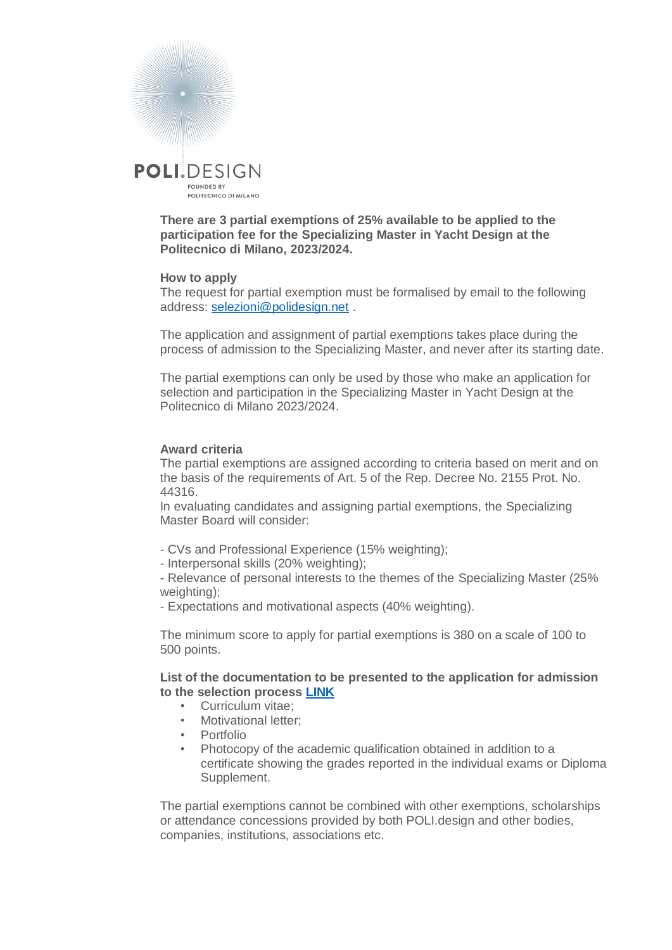

**There are 3 partial exemptions of 25% available to be applied to the participation fee for the Specializing Master in Yacht Design at the Politecnico di Milano, 2023/2024.**

## **How to apply**

The request for partial exemption must be formalised by email to the following address: [selezioni@polidesign.net](mailto:selezioni@polidesign.net) .

The application and assignment of partial exemptions takes place during the process of admission to the Specializing Master, and never after its starting date.

The partial exemptions can only be used by those who make an application for selection and participation in the Specializing Master in Yacht Design at the Politecnico di Milano 2023/2024.

## **Award criteria**

The partial exemptions are assigned according to criteria based on merit and on the basis of the requirements of Art. 5 of the Rep. Decree No. 2155 Prot. No. 44316.

In evaluating candidates and assigning partial exemptions, the Specializing Master Board will consider:

- CVs and Professional Experience (15% weighting);
- Interpersonal skills (20% weighting);

- Relevance of personal interests to the themes of the Specializing Master (25% weighting);

- Expectations and motivational aspects (40% weighting).

The minimum score to apply for partial exemptions is 380 on a scale of 100 to 500 points.

**List of the documentation to be presented to the application for admission to the selection process [LINK](https://www.polidesign.net/it/member-login/?candidatura&redirect_to=https://www.polidesign.net/it/candidatura/?courseID=POLID_5fce1313e91b6)**

- Curriculum vitae;
	- Motivational letter;
	- Portfolio
	- Photocopy of the academic qualification obtained in addition to a certificate showing the grades reported in the individual exams or Diploma Supplement.

The partial exemptions cannot be combined with other exemptions, scholarships or attendance concessions provided by both POLI.design and other bodies, companies, institutions, associations etc.